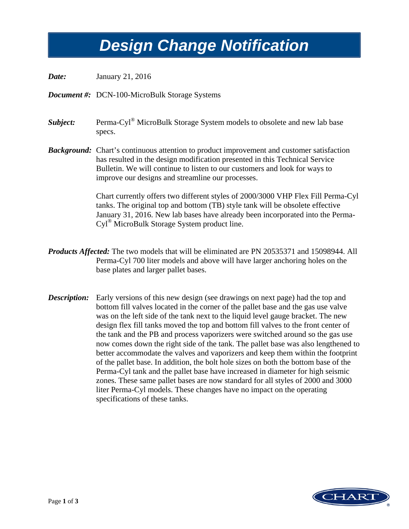## *Design Change Notification Design Change Notification*

*Date:* January 21, 2016

*Document #:* DCN-100-MicroBulk Storage Systems

*Subject:* Perma-Cyl® MicroBulk Storage System models to obsolete and new lab base specs.

**Background:** Chart's continuous attention to product improvement and customer satisfaction has resulted in the design modification presented in this Technical Service Bulletin. We will continue to listen to our customers and look for ways to improve our designs and streamline our processes.

> Chart currently offers two different styles of 2000/3000 VHP Flex Fill Perma-Cyl tanks. The original top and bottom (TB) style tank will be obsolete effective January 31, 2016. New lab bases have already been incorporated into the Perma-Cyl® MicroBulk Storage System product line.

- *Products Affected:* The two models that will be eliminated are PN 20535371 and 15098944. All Perma-Cyl 700 liter models and above will have larger anchoring holes on the base plates and larger pallet bases.
- *Description:* Early versions of this new design (see drawings on next page) had the top and bottom fill valves located in the corner of the pallet base and the gas use valve was on the left side of the tank next to the liquid level gauge bracket. The new design flex fill tanks moved the top and bottom fill valves to the front center of the tank and the PB and process vaporizers were switched around so the gas use now comes down the right side of the tank. The pallet base was also lengthened to better accommodate the valves and vaporizers and keep them within the footprint of the pallet base. In addition, the bolt hole sizes on both the bottom base of the Perma-Cyl tank and the pallet base have increased in diameter for high seismic zones. These same pallet bases are now standard for all styles of 2000 and 3000 liter Perma-Cyl models. These changes have no impact on the operating specifications of these tanks.

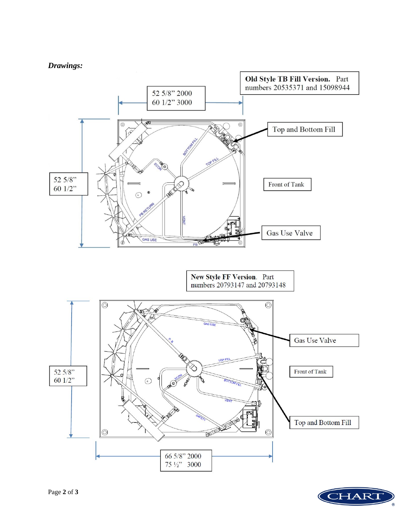